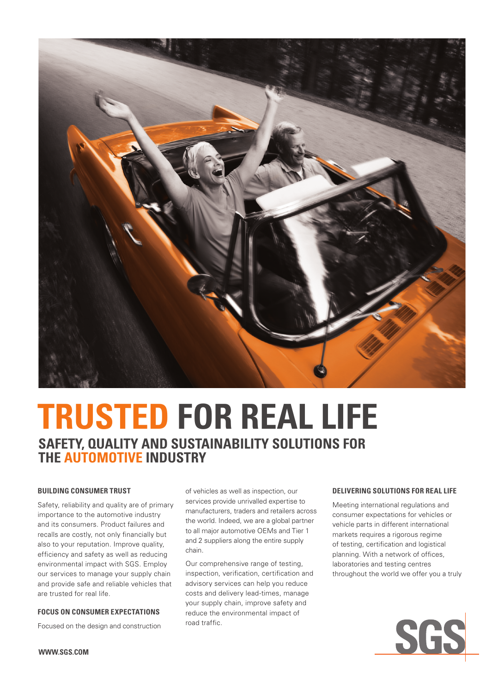

# **TRUSTED FOR REAL LIFE SAFETY, QUALITY AND SUSTAINABILITY SOLUTIONS FOR THE AUTOMOTIVE INDUSTRY**

# **BUILDING CONSUMER TRUST**

Safety, reliability and quality are of primary importance to the automotive industry and its consumers. Product failures and recalls are costly, not only financially but also to your reputation. Improve quality, efficiency and safety as well as reducing environmental impact with SGS. Employ our services to manage your supply chain and provide safe and reliable vehicles that are trusted for real life.

## **FOCUS ON CONSUMER EXPECTATIONS**

Focused on the design and construction

of vehicles as well as inspection, our services provide unrivalled expertise to manufacturers, traders and retailers across the world. Indeed, we are a global partner to all major automotive OEMs and Tier 1 and 2 suppliers along the entire supply chain.

Our comprehensive range of testing, inspection, verification, certification and advisory services can help you reduce costs and delivery lead-times, manage your supply chain, improve safety and reduce the environmental impact of road traffic.

## **DELIVERING SOLUTIONS FOR REAL LIFE**

Meeting international regulations and consumer expectations for vehicles or vehicle parts in different international markets requires a rigorous regime of testing, certification and logistical planning. With a network of offices, laboratories and testing centres throughout the world we offer you a truly